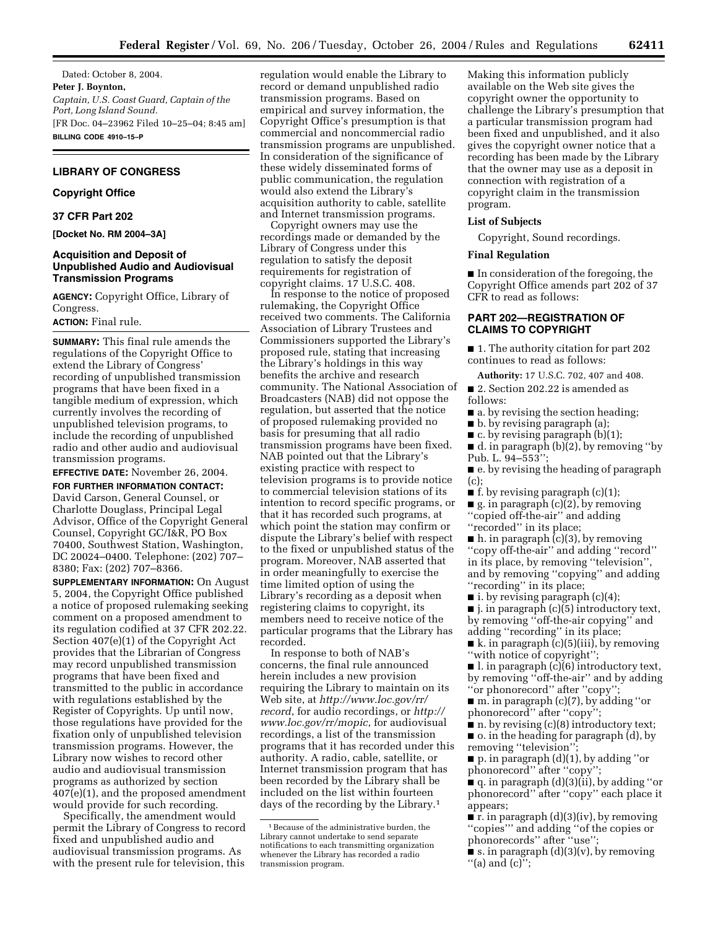Dated: October 8, 2004. **Peter J. Boynton,**  *Captain, U.S. Coast Guard, Captain of the Port, Long Island Sound.* [FR Doc. 04–23962 Filed 10–25–04; 8:45 am] **BILLING CODE 4910–15–P**

# **LIBRARY OF CONGRESS**

## **Copyright Office**

### **37 CFR Part 202**

**[Docket No. RM 2004–3A]** 

## **Acquisition and Deposit of Unpublished Audio and Audiovisual Transmission Programs**

**AGENCY:** Copyright Office, Library of Congress.

# **ACTION:** Final rule.

**SUMMARY:** This final rule amends the regulations of the Copyright Office to extend the Library of Congress' recording of unpublished transmission programs that have been fixed in a tangible medium of expression, which currently involves the recording of unpublished television programs, to include the recording of unpublished radio and other audio and audiovisual transmission programs.

**EFFECTIVE DATE:** November 26, 2004.

**FOR FURTHER INFORMATION CONTACT:** David Carson, General Counsel, or Charlotte Douglass, Principal Legal Advisor, Office of the Copyright General Counsel, Copyright GC/I&R, PO Box 70400, Southwest Station, Washington, DC 20024–0400. Telephone: (202) 707– 8380; Fax: (202) 707–8366.

**SUPPLEMENTARY INFORMATION:** On August 5, 2004, the Copyright Office published a notice of proposed rulemaking seeking comment on a proposed amendment to its regulation codified at 37 CFR 202.22. Section 407(e)(1) of the Copyright Act provides that the Librarian of Congress may record unpublished transmission programs that have been fixed and transmitted to the public in accordance with regulations established by the Register of Copyrights. Up until now, those regulations have provided for the fixation only of unpublished television transmission programs. However, the Library now wishes to record other audio and audiovisual transmission programs as authorized by section 407(e)(1), and the proposed amendment would provide for such recording.

Specifically, the amendment would permit the Library of Congress to record fixed and unpublished audio and audiovisual transmission programs. As with the present rule for television, this

regulation would enable the Library to record or demand unpublished radio transmission programs. Based on empirical and survey information, the Copyright Office's presumption is that commercial and noncommercial radio transmission programs are unpublished. In consideration of the significance of these widely disseminated forms of public communication, the regulation would also extend the Library's acquisition authority to cable, satellite and Internet transmission programs.

Copyright owners may use the recordings made or demanded by the Library of Congress under this regulation to satisfy the deposit requirements for registration of copyright claims. 17 U.S.C. 408.

In response to the notice of proposed rulemaking, the Copyright Office received two comments. The California Association of Library Trustees and Commissioners supported the Library's proposed rule, stating that increasing the Library's holdings in this way benefits the archive and research community. The National Association of Broadcasters (NAB) did not oppose the regulation, but asserted that the notice of proposed rulemaking provided no basis for presuming that all radio transmission programs have been fixed. NAB pointed out that the Library's existing practice with respect to television programs is to provide notice to commercial television stations of its intention to record specific programs, or that it has recorded such programs, at which point the station may confirm or dispute the Library's belief with respect to the fixed or unpublished status of the program. Moreover, NAB asserted that in order meaningfully to exercise the time limited option of using the Library's recording as a deposit when registering claims to copyright, its members need to receive notice of the particular programs that the Library has recorded.

In response to both of NAB's concerns, the final rule announced herein includes a new provision requiring the Library to maintain on its Web site, at *<http://www.loc.gov/rr/> record*[, for audio recordings, or](http://www.loc.gov/rr/mopic) *http:// www.loc.gov/rr/mopic*, for audiovisual recordings, a list of the transmission programs that it has recorded under this authority. A radio, cable, satellite, or Internet transmission program that has been recorded by the Library shall be included on the list within fourteen days of the recording by the Library.1

Making this information publicly available on the Web site gives the copyright owner the opportunity to challenge the Library's presumption that a particular transmission program had been fixed and unpublished, and it also gives the copyright owner notice that a recording has been made by the Library that the owner may use as a deposit in connection with registration of a copyright claim in the transmission program.

#### **List of Subjects**

Copyright, Sound recordings.

#### **Final Regulation**

■ In consideration of the foregoing, the Copyright Office amends part 202 of 37 CFR to read as follows:

## **PART 202—REGISTRATION OF CLAIMS TO COPYRIGHT**

■ 1. The authority citation for part 202 continues to read as follows:

**Authority:** 17 U.S.C. 702, 407 and 408. ■ 2. Section 202.22 is amended as follows:

■ a. by revising the section heading;

■ b. by revising paragraph (a);

 $\blacksquare$  c. by revising paragraph (b)(1);

 $\blacksquare$  d. in paragraph (b)(2), by removing "by Pub. L. 94–553'';

■ e. by revising the heading of paragraph (c);

 $\blacksquare$  f. by revising paragraph (c)(1);

 $\blacksquare$  g. in paragraph (c)(2), by removing ''copied off-the-air'' and adding

"recorded" in its place;

 $\blacksquare$  h. in paragraph (c)(3), by removing ''copy off-the-air'' and adding ''record'' in its place, by removing ''television'', and by removing ''copying'' and adding ''recording'' in its place;

■ i. by revising paragraph (c)(4);

■ j. in paragraph (c)(5) introductory text, by removing ''off-the-air copying'' and adding ''recording'' in its place;

 $\blacksquare$  k. in paragraph (c)(5)(iii), by removing ''with notice of copyright'';

 $\blacksquare$  l. in paragraph  $(c)(6)$  introductory text, by removing ''off-the-air'' and by adding ''or phonorecord'' after ''copy'';

■ m. in paragraph (c)(7), by adding "or phonorecord" after "copy"

 $\blacksquare$  n. by revising (c)(8) introductory text;

■ o. in the heading for paragraph (d), by removing "television"

■ p. in paragraph (d)(1), by adding ''or phonorecord'' after ''copy'';

■ q. in paragraph (d)(3)(ii), by adding ''or phonorecord'' after ''copy'' each place it appears;

 $\blacksquare$  r. in paragraph (d)(3)(iv), by removing ''copies''' and adding ''of the copies or phonorecords'' after ''use'';

 $\bullet$  s. in paragraph (d)(3)(v), by removing ''(a) and (c)'';

<sup>&</sup>lt;sup>1</sup> Because of the administrative burden, the Library cannot undertake to send separate notifications to each transmitting organization whenever the Library has recorded a radio transmission program.